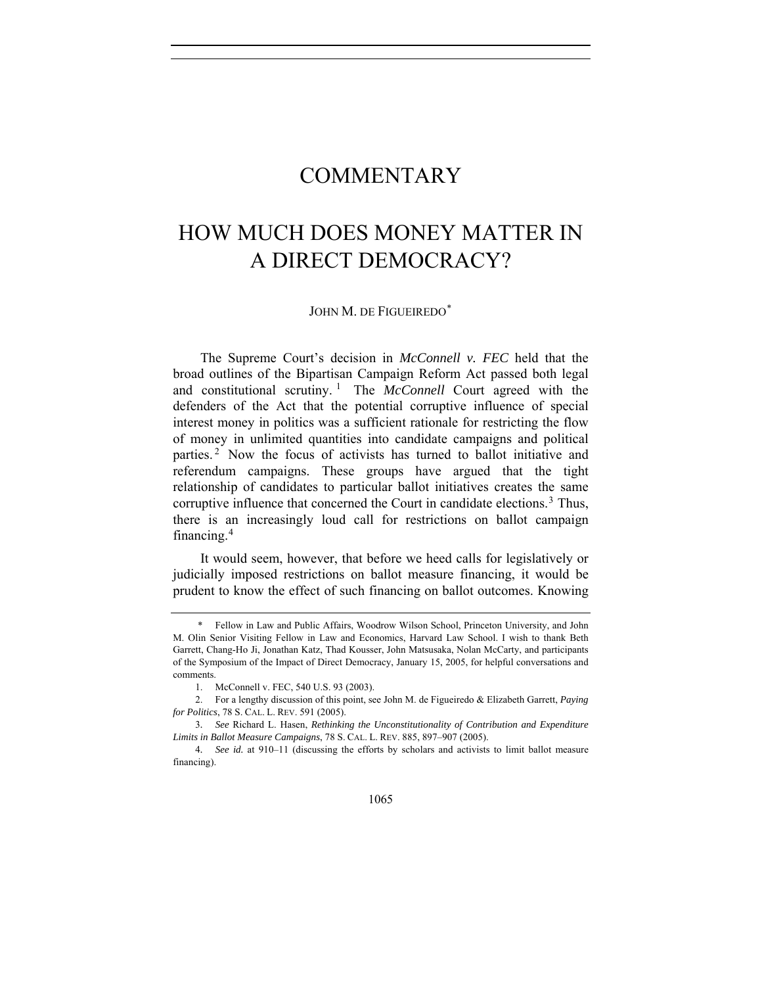## COMMENTARY

## HOW MUCH DOES MONEY MATTER IN A DIRECT DEMOCRACY?

## JOHN M. DE FIGUEIREDO[\\*](#page-0-0)

The Supreme Court's decision in *McConnell v. FEC* held that the broad outlines of the Bipartisan Campaign Reform Act passed both legal and constitutional scrutiny.<sup>[1](#page-0-1)</sup> The *McConnell* Court agreed with the defenders of the Act that the potential corruptive influence of special interest money in politics was a sufficient rationale for restricting the flow of money in unlimited quantities into candidate campaigns and political parties. [2](#page-0-2) Now the focus of activists has turned to ballot initiative and referendum campaigns. These groups have argued that the tight relationship of candidates to particular ballot initiatives creates the same corruptive influence that concerned the Court in candidate elections.<sup>[3](#page-0-3)</sup> Thus, there is an increasingly loud call for restrictions on ballot campaign financing.[4](#page-0-4)

It would seem, however, that before we heed calls for legislatively or judicially imposed restrictions on ballot measure financing, it would be prudent to know the effect of such financing on ballot outcomes. Knowing

<span id="page-0-0"></span> <sup>\*</sup> Fellow in Law and Public Affairs, Woodrow Wilson School, Princeton University, and John M. Olin Senior Visiting Fellow in Law and Economics, Harvard Law School. I wish to thank Beth Garrett, Chang-Ho Ji, Jonathan Katz, Thad Kousser, John Matsusaka, Nolan McCarty, and participants of the Symposium of the Impact of Direct Democracy, January 15, 2005, for helpful conversations and comments.

 <sup>1.</sup> McConnell v. FEC, 540 U.S. 93 (2003).

<span id="page-0-2"></span><span id="page-0-1"></span> <sup>2.</sup> For a lengthy discussion of this point, see John M. de Figueiredo & Elizabeth Garrett, *Paying for Politics*, 78 S. CAL. L. REV. 591 (2005).

<span id="page-0-3"></span><sup>3</sup>*. See* Richard L. Hasen, *Rethinking the Unconstitutionality of Contribution and Expenditure Limits in Ballot Measure Campaigns*, 78 S. CAL. L. REV. 885, 897–907 (2005).

<span id="page-0-4"></span><sup>4</sup>*. See id.* at 910–11 (discussing the efforts by scholars and activists to limit ballot measure financing).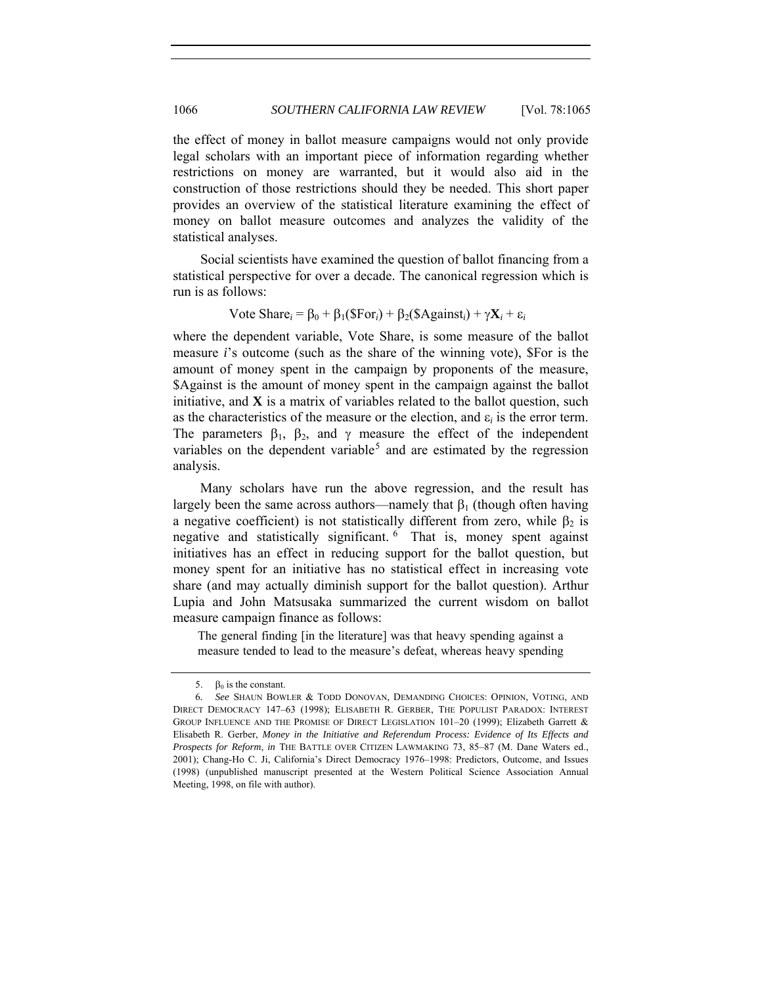the effect of money in ballot measure campaigns would not only provide legal scholars with an important piece of information regarding whether restrictions on money are warranted, but it would also aid in the construction of those restrictions should they be needed. This short paper provides an overview of the statistical literature examining the effect of money on ballot measure outcomes and analyzes the validity of the statistical analyses.

Social scientists have examined the question of ballot financing from a statistical perspective for over a decade. The canonical regression which is run is as follows:

## Vote Share<sub>i</sub> =  $\beta_0$  +  $\beta_1$ (\$For<sub>i</sub>) +  $\beta_2$ (\$Against<sub>i</sub>) +  $\gamma$ **X**<sub>*i*</sub> +  $\varepsilon_i$

where the dependent variable, Vote Share, is some measure of the ballot measure *i*'s outcome (such as the share of the winning vote), \$For is the amount of money spent in the campaign by proponents of the measure, \$Against is the amount of money spent in the campaign against the ballot initiative, and **X** is a matrix of variables related to the ballot question, such as the characteristics of the measure or the election, and  $\varepsilon_i$  is the error term. The parameters  $\beta_1$ ,  $\beta_2$ , and  $\gamma$  measure the effect of the independent variables on the dependent variable<sup>[5](#page-1-0)</sup> and are estimated by the regression analysis.

Many scholars have run the above regression, and the result has largely been the same across authors—namely that  $\beta_1$  (though often having a negative coefficient) is not statistically different from zero, while  $\beta_2$  is negative and statistically significant. [6](#page-1-1) That is, money spent against initiatives has an effect in reducing support for the ballot question, but money spent for an initiative has no statistical effect in increasing vote share (and may actually diminish support for the ballot question). Arthur Lupia and John Matsusaka summarized the current wisdom on ballot measure campaign finance as follows:

The general finding [in the literature] was that heavy spending against a measure tended to lead to the measure's defeat, whereas heavy spending

<sup>5.</sup>  $\beta_0$  is the constant.

<span id="page-1-1"></span><span id="page-1-0"></span><sup>6</sup>*. See* SHAUN BOWLER & TODD DONOVAN, DEMANDING CHOICES: OPINION, VOTING, AND DIRECT DEMOCRACY 147–63 (1998); ELISABETH R. GERBER, THE POPULIST PARADOX: INTEREST GROUP INFLUENCE AND THE PROMISE OF DIRECT LEGISLATION 101-20 (1999); Elizabeth Garrett & Elisabeth R. Gerber, *Money in the Initiative and Referendum Process: Evidence of Its Effects and Prospects for Reform*, *in* THE BATTLE OVER CITIZEN LAWMAKING 73, 85–87 (M. Dane Waters ed., 2001); Chang-Ho C. Ji, California's Direct Democracy 1976–1998: Predictors, Outcome, and Issues (1998) (unpublished manuscript presented at the Western Political Science Association Annual Meeting, 1998, on file with author).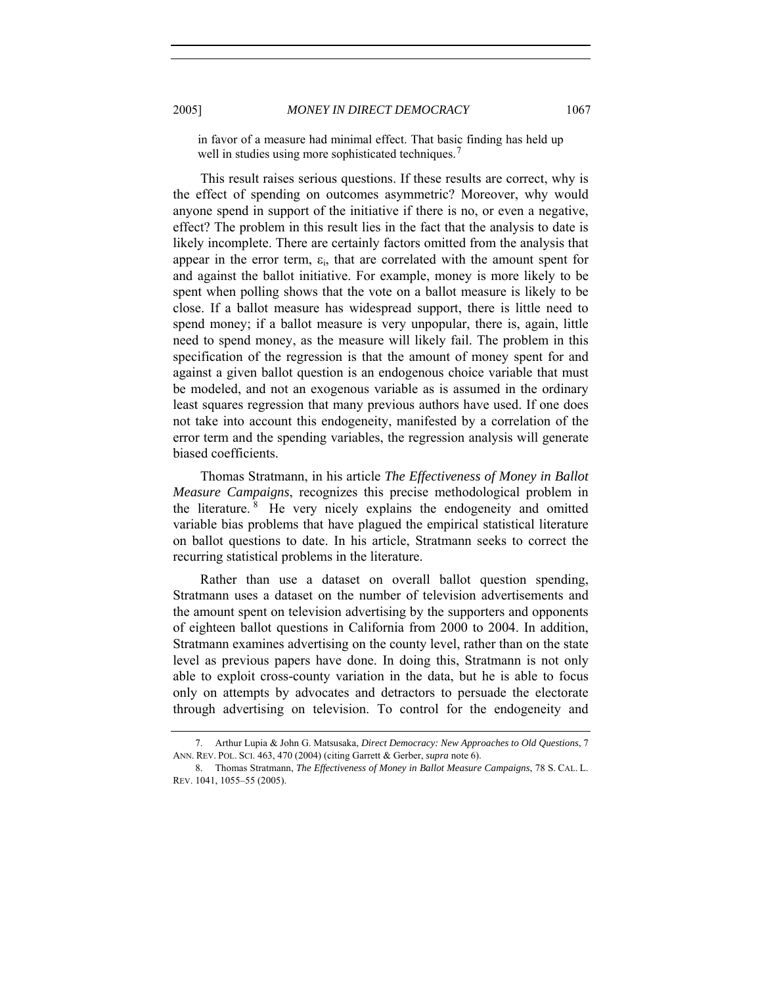in favor of a measure had minimal effect. That basic finding has held up well in studies using more sophisticated techniques.<sup>[7](#page-2-0)</sup>

This result raises serious questions. If these results are correct, why is the effect of spending on outcomes asymmetric? Moreover, why would anyone spend in support of the initiative if there is no, or even a negative, effect? The problem in this result lies in the fact that the analysis to date is likely incomplete. There are certainly factors omitted from the analysis that appear in the error term,  $\varepsilon$ <sub>i</sub>, that are correlated with the amount spent for and against the ballot initiative. For example, money is more likely to be spent when polling shows that the vote on a ballot measure is likely to be close. If a ballot measure has widespread support, there is little need to spend money; if a ballot measure is very unpopular, there is, again, little need to spend money, as the measure will likely fail. The problem in this specification of the regression is that the amount of money spent for and against a given ballot question is an endogenous choice variable that must be modeled, and not an exogenous variable as is assumed in the ordinary least squares regression that many previous authors have used. If one does not take into account this endogeneity, manifested by a correlation of the error term and the spending variables, the regression analysis will generate biased coefficients.

Thomas Stratmann, in his article *The Effectiveness of Money in Ballot Measure Campaigns*, recognizes this precise methodological problem in the literature. [8](#page-2-1) He very nicely explains the endogeneity and omitted variable bias problems that have plagued the empirical statistical literature on ballot questions to date. In his article, Stratmann seeks to correct the recurring statistical problems in the literature.

Rather than use a dataset on overall ballot question spending, Stratmann uses a dataset on the number of television advertisements and the amount spent on television advertising by the supporters and opponents of eighteen ballot questions in California from 2000 to 2004. In addition, Stratmann examines advertising on the county level, rather than on the state level as previous papers have done. In doing this, Stratmann is not only able to exploit cross-county variation in the data, but he is able to focus only on attempts by advocates and detractors to persuade the electorate through advertising on television. To control for the endogeneity and

<span id="page-2-0"></span> <sup>7.</sup> Arthur Lupia & John G. Matsusaka, *Direct Democracy: New Approaches to Old Questions*, 7 ANN. REV. POL. SCI. 463, 470 (2004) (citing Garrett & Gerber, *supra* note 6).

<span id="page-2-1"></span> <sup>8.</sup> Thomas Stratmann, *The Effectiveness of Money in Ballot Measure Campaigns*, 78 S. CAL. L. REV. 1041, 1055–55 (2005).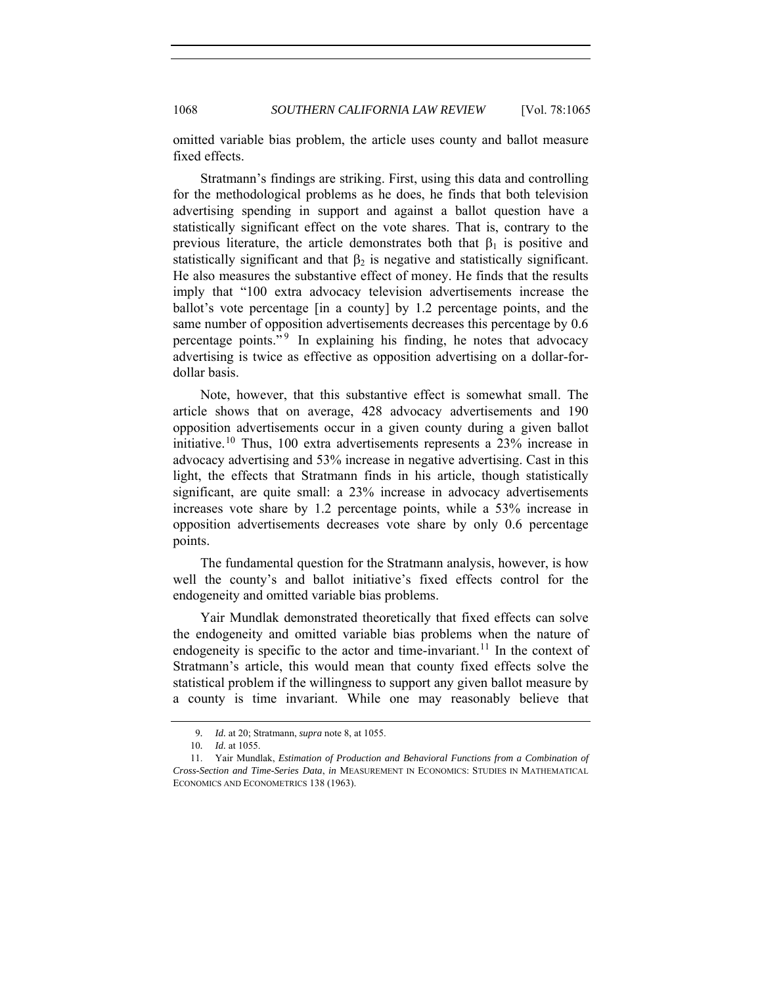omitted variable bias problem, the article uses county and ballot measure fixed effects.

Stratmann's findings are striking. First, using this data and controlling for the methodological problems as he does, he finds that both television advertising spending in support and against a ballot question have a statistically significant effect on the vote shares. That is, contrary to the previous literature, the article demonstrates both that  $\beta_1$  is positive and statistically significant and that  $\beta_2$  is negative and statistically significant. He also measures the substantive effect of money. He finds that the results imply that "100 extra advocacy television advertisements increase the ballot's vote percentage [in a county] by 1.2 percentage points, and the same number of opposition advertisements decreases this percentage by 0.6 percentage points."<sup>[9](#page-3-0)</sup> In explaining his finding, he notes that advocacy advertising is twice as effective as opposition advertising on a dollar-fordollar basis.

Note, however, that this substantive effect is somewhat small. The article shows that on average, 428 advocacy advertisements and 190 opposition advertisements occur in a given county during a given ballot initiative.[10](#page-3-1) Thus, 100 extra advertisements represents a 23% increase in advocacy advertising and 53% increase in negative advertising. Cast in this light, the effects that Stratmann finds in his article, though statistically significant, are quite small: a 23% increase in advocacy advertisements increases vote share by 1.2 percentage points, while a 53% increase in opposition advertisements decreases vote share by only 0.6 percentage points.

The fundamental question for the Stratmann analysis, however, is how well the county's and ballot initiative's fixed effects control for the endogeneity and omitted variable bias problems.

Yair Mundlak demonstrated theoretically that fixed effects can solve the endogeneity and omitted variable bias problems when the nature of endogeneity is specific to the actor and time-invariant.<sup>[11](#page-3-2)</sup> In the context of Stratmann's article, this would mean that county fixed effects solve the statistical problem if the willingness to support any given ballot measure by a county is time invariant. While one may reasonably believe that

<sup>9</sup>*. Id.* at 20; Stratmann, *supra* note 8, at 1055.

<sup>10</sup>*. Id.* at 1055.

<span id="page-3-2"></span><span id="page-3-1"></span><span id="page-3-0"></span> <sup>11.</sup> Yair Mundlak, *Estimation of Production and Behavioral Functions from a Combination of Cross-Section and Time-Series Data*, *in* MEASUREMENT IN ECONOMICS: STUDIES IN MATHEMATICAL ECONOMICS AND ECONOMETRICS 138 (1963).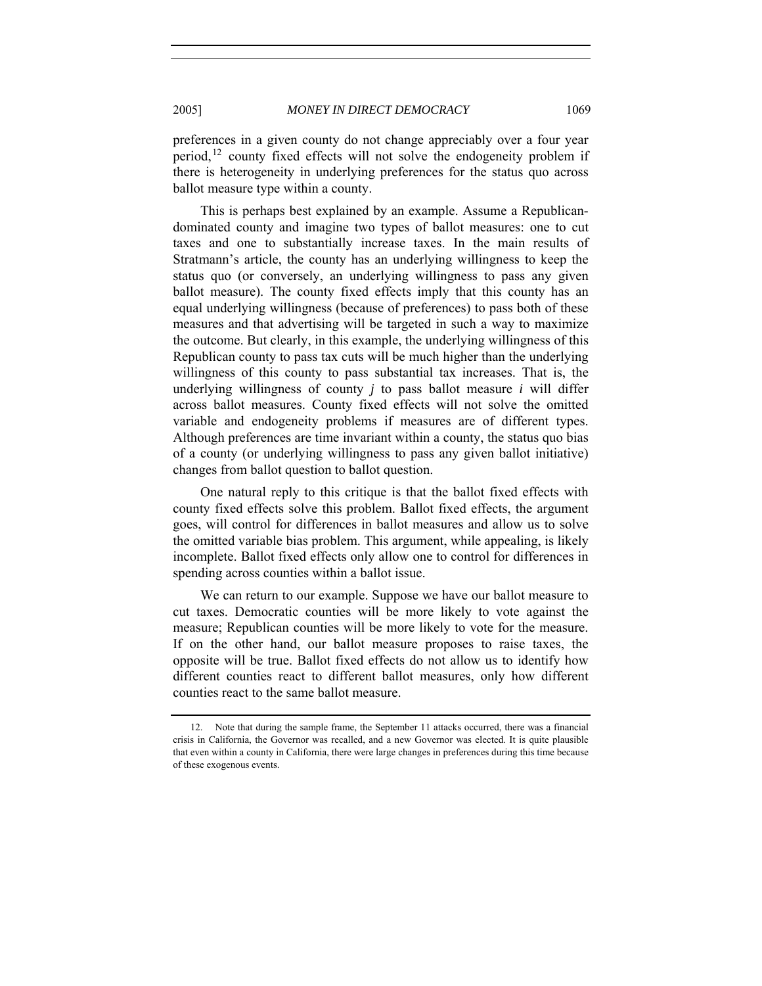preferences in a given county do not change appreciably over a four year period,<sup>[12](#page-4-0)</sup> county fixed effects will not solve the endogeneity problem if there is heterogeneity in underlying preferences for the status quo across ballot measure type within a county.

This is perhaps best explained by an example. Assume a Republicandominated county and imagine two types of ballot measures: one to cut taxes and one to substantially increase taxes. In the main results of Stratmann's article, the county has an underlying willingness to keep the status quo (or conversely, an underlying willingness to pass any given ballot measure). The county fixed effects imply that this county has an equal underlying willingness (because of preferences) to pass both of these measures and that advertising will be targeted in such a way to maximize the outcome. But clearly, in this example, the underlying willingness of this Republican county to pass tax cuts will be much higher than the underlying willingness of this county to pass substantial tax increases. That is, the underlying willingness of county *j* to pass ballot measure *i* will differ across ballot measures. County fixed effects will not solve the omitted variable and endogeneity problems if measures are of different types. Although preferences are time invariant within a county, the status quo bias of a county (or underlying willingness to pass any given ballot initiative) changes from ballot question to ballot question.

One natural reply to this critique is that the ballot fixed effects with county fixed effects solve this problem. Ballot fixed effects, the argument goes, will control for differences in ballot measures and allow us to solve the omitted variable bias problem. This argument, while appealing, is likely incomplete. Ballot fixed effects only allow one to control for differences in spending across counties within a ballot issue.

We can return to our example. Suppose we have our ballot measure to cut taxes. Democratic counties will be more likely to vote against the measure; Republican counties will be more likely to vote for the measure. If on the other hand, our ballot measure proposes to raise taxes, the opposite will be true. Ballot fixed effects do not allow us to identify how different counties react to different ballot measures, only how different counties react to the same ballot measure.

<span id="page-4-0"></span> <sup>12.</sup> Note that during the sample frame, the September 11 attacks occurred, there was a financial crisis in California, the Governor was recalled, and a new Governor was elected. It is quite plausible that even within a county in California, there were large changes in preferences during this time because of these exogenous events.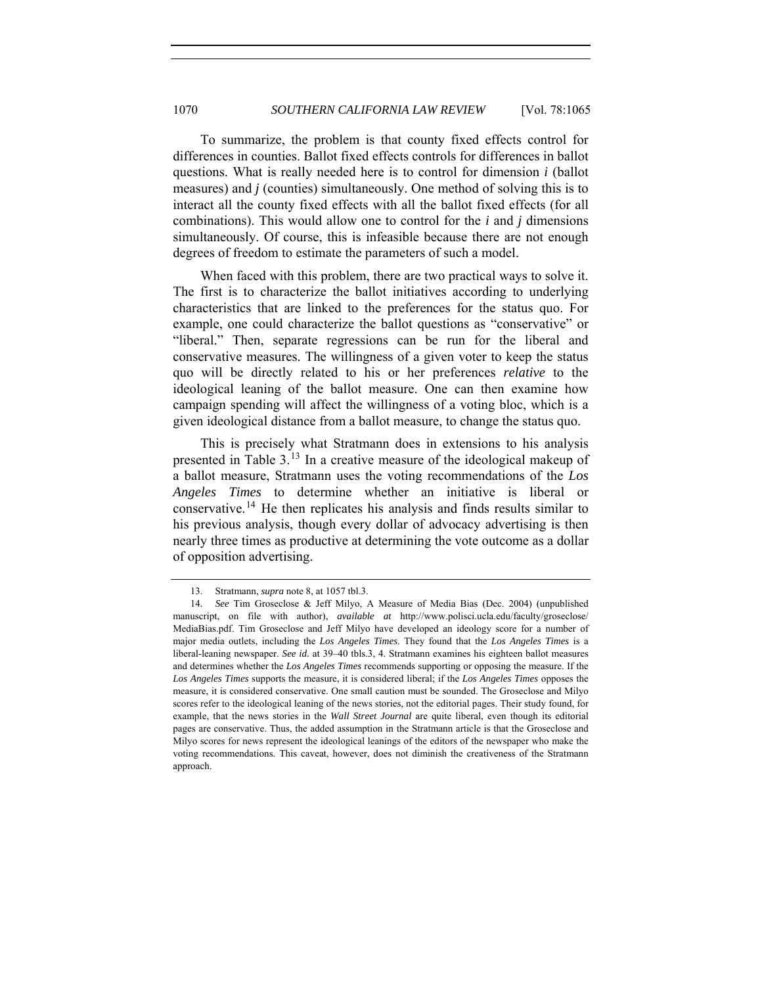To summarize, the problem is that county fixed effects control for differences in counties. Ballot fixed effects controls for differences in ballot questions. What is really needed here is to control for dimension *i* (ballot measures) and *j* (counties) simultaneously. One method of solving this is to interact all the county fixed effects with all the ballot fixed effects (for all combinations). This would allow one to control for the *i* and *j* dimensions simultaneously. Of course, this is infeasible because there are not enough degrees of freedom to estimate the parameters of such a model.

When faced with this problem, there are two practical ways to solve it. The first is to characterize the ballot initiatives according to underlying characteristics that are linked to the preferences for the status quo. For example, one could characterize the ballot questions as "conservative" or "liberal." Then, separate regressions can be run for the liberal and conservative measures. The willingness of a given voter to keep the status quo will be directly related to his or her preferences *relative* to the ideological leaning of the ballot measure. One can then examine how campaign spending will affect the willingness of a voting bloc, which is a given ideological distance from a ballot measure, to change the status quo.

This is precisely what Stratmann does in extensions to his analysis presented in Table 3.[13](#page-5-0) In a creative measure of the ideological makeup of a ballot measure, Stratmann uses the voting recommendations of the *Los Angeles Times* to determine whether an initiative is liberal or conservative.[14](#page-5-1) He then replicates his analysis and finds results similar to his previous analysis, though every dollar of advocacy advertising is then nearly three times as productive at determining the vote outcome as a dollar of opposition advertising.

 <sup>13.</sup> Stratmann, *supra* note 8, at 1057 tbl.3.

<span id="page-5-1"></span><span id="page-5-0"></span><sup>14</sup>*. See* Tim Groseclose & Jeff Milyo, A Measure of Media Bias (Dec. 2004) (unpublished manuscript, on file with author), *available at* http://www.polisci.ucla.edu/faculty/groseclose/ MediaBias.pdf. Tim Groseclose and Jeff Milyo have developed an ideology score for a number of major media outlets, including the *Los Angeles Times*. They found that the *Los Angeles Times* is a liberal-leaning newspaper. *See id.* at 39–40 tbls.3, 4. Stratmann examines his eighteen ballot measures and determines whether the *Los Angeles Times* recommends supporting or opposing the measure. If the *Los Angeles Times* supports the measure, it is considered liberal; if the *Los Angeles Times* opposes the measure, it is considered conservative. One small caution must be sounded. The Groseclose and Milyo scores refer to the ideological leaning of the news stories, not the editorial pages. Their study found, for example, that the news stories in the *Wall Street Journal* are quite liberal, even though its editorial pages are conservative. Thus, the added assumption in the Stratmann article is that the Groseclose and Milyo scores for news represent the ideological leanings of the editors of the newspaper who make the voting recommendations. This caveat, however, does not diminish the creativeness of the Stratmann approach.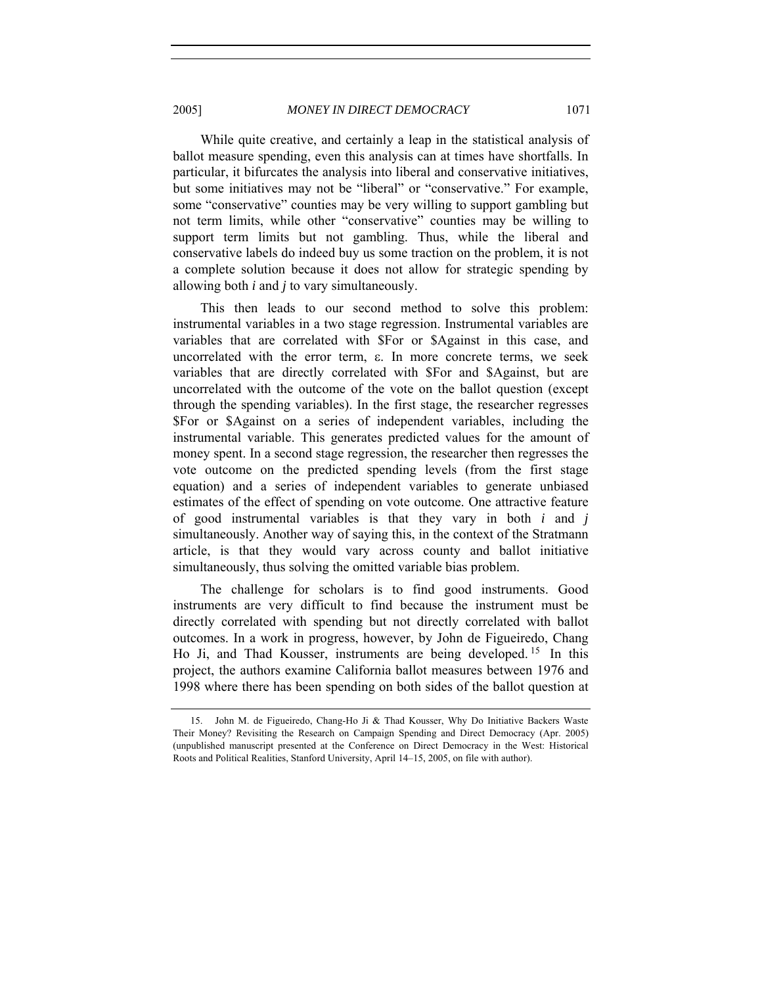2005] *MONEY IN DIRECT DEMOCRACY* 1071

While quite creative, and certainly a leap in the statistical analysis of ballot measure spending, even this analysis can at times have shortfalls. In particular, it bifurcates the analysis into liberal and conservative initiatives, but some initiatives may not be "liberal" or "conservative." For example, some "conservative" counties may be very willing to support gambling but not term limits, while other "conservative" counties may be willing to support term limits but not gambling. Thus, while the liberal and conservative labels do indeed buy us some traction on the problem, it is not a complete solution because it does not allow for strategic spending by allowing both *i* and *j* to vary simultaneously.

This then leads to our second method to solve this problem: instrumental variables in a two stage regression. Instrumental variables are variables that are correlated with \$For or \$Against in this case, and uncorrelated with the error term, ε. In more concrete terms, we seek variables that are directly correlated with \$For and \$Against, but are uncorrelated with the outcome of the vote on the ballot question (except through the spending variables). In the first stage, the researcher regresses \$For or \$Against on a series of independent variables, including the instrumental variable. This generates predicted values for the amount of money spent. In a second stage regression, the researcher then regresses the vote outcome on the predicted spending levels (from the first stage equation) and a series of independent variables to generate unbiased estimates of the effect of spending on vote outcome. One attractive feature of good instrumental variables is that they vary in both *i* and *j* simultaneously. Another way of saying this, in the context of the Stratmann article, is that they would vary across county and ballot initiative simultaneously, thus solving the omitted variable bias problem.

The challenge for scholars is to find good instruments. Good instruments are very difficult to find because the instrument must be directly correlated with spending but not directly correlated with ballot outcomes. In a work in progress, however, by John de Figueiredo, Chang Ho Ji, and Thad Kousser, instruments are being developed. [15](#page-6-0) In this project, the authors examine California ballot measures between 1976 and 1998 where there has been spending on both sides of the ballot question at

<span id="page-6-0"></span> <sup>15.</sup> John M. de Figueiredo, Chang-Ho Ji & Thad Kousser, Why Do Initiative Backers Waste Their Money? Revisiting the Research on Campaign Spending and Direct Democracy (Apr. 2005) (unpublished manuscript presented at the Conference on Direct Democracy in the West: Historical Roots and Political Realities, Stanford University, April 14–15, 2005, on file with author).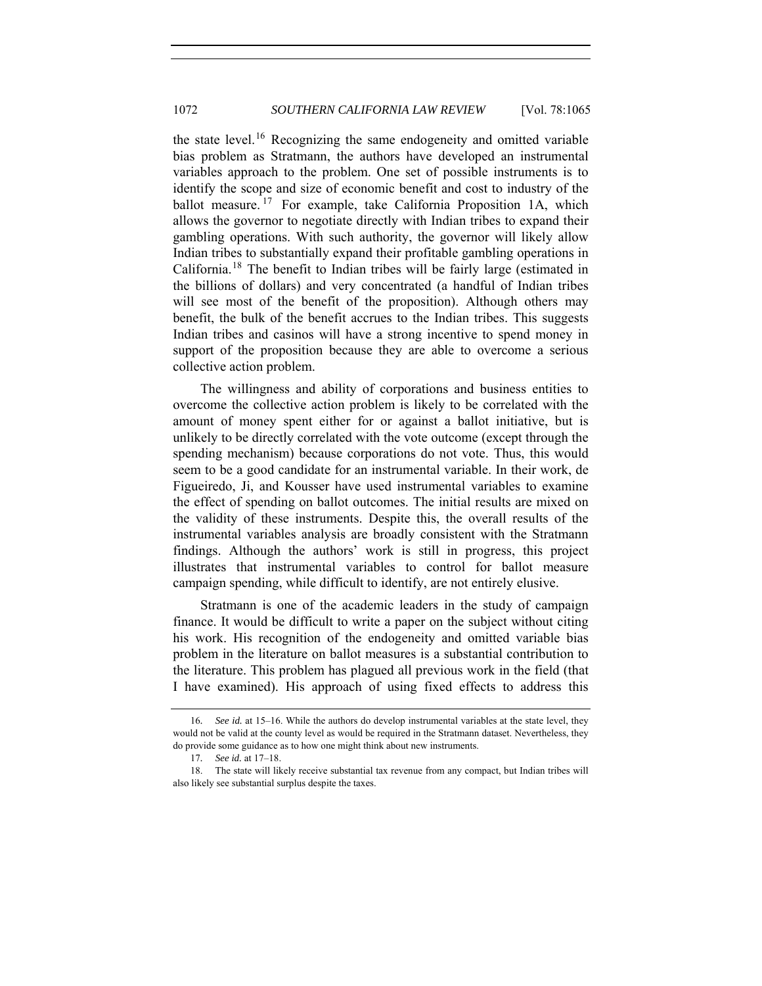the state level.[16](#page-7-0) Recognizing the same endogeneity and omitted variable bias problem as Stratmann, the authors have developed an instrumental variables approach to the problem. One set of possible instruments is to identify the scope and size of economic benefit and cost to industry of the ballot measure.<sup>[17](#page-7-1)</sup> For example, take California Proposition 1A, which allows the governor to negotiate directly with Indian tribes to expand their gambling operations. With such authority, the governor will likely allow Indian tribes to substantially expand their profitable gambling operations in California.[18](#page-7-2) The benefit to Indian tribes will be fairly large (estimated in the billions of dollars) and very concentrated (a handful of Indian tribes will see most of the benefit of the proposition). Although others may benefit, the bulk of the benefit accrues to the Indian tribes. This suggests Indian tribes and casinos will have a strong incentive to spend money in support of the proposition because they are able to overcome a serious collective action problem.

The willingness and ability of corporations and business entities to overcome the collective action problem is likely to be correlated with the amount of money spent either for or against a ballot initiative, but is unlikely to be directly correlated with the vote outcome (except through the spending mechanism) because corporations do not vote. Thus, this would seem to be a good candidate for an instrumental variable. In their work, de Figueiredo, Ji, and Kousser have used instrumental variables to examine the effect of spending on ballot outcomes. The initial results are mixed on the validity of these instruments. Despite this, the overall results of the instrumental variables analysis are broadly consistent with the Stratmann findings. Although the authors' work is still in progress, this project illustrates that instrumental variables to control for ballot measure campaign spending, while difficult to identify, are not entirely elusive.

Stratmann is one of the academic leaders in the study of campaign finance. It would be difficult to write a paper on the subject without citing his work. His recognition of the endogeneity and omitted variable bias problem in the literature on ballot measures is a substantial contribution to the literature. This problem has plagued all previous work in the field (that I have examined). His approach of using fixed effects to address this

<span id="page-7-0"></span><sup>16</sup>*. See id.* at 15–16. While the authors do develop instrumental variables at the state level, they would not be valid at the county level as would be required in the Stratmann dataset. Nevertheless, they do provide some guidance as to how one might think about new instruments.

<sup>17</sup>*. See id.* at 17–18.

<span id="page-7-2"></span><span id="page-7-1"></span> <sup>18.</sup> The state will likely receive substantial tax revenue from any compact, but Indian tribes will also likely see substantial surplus despite the taxes.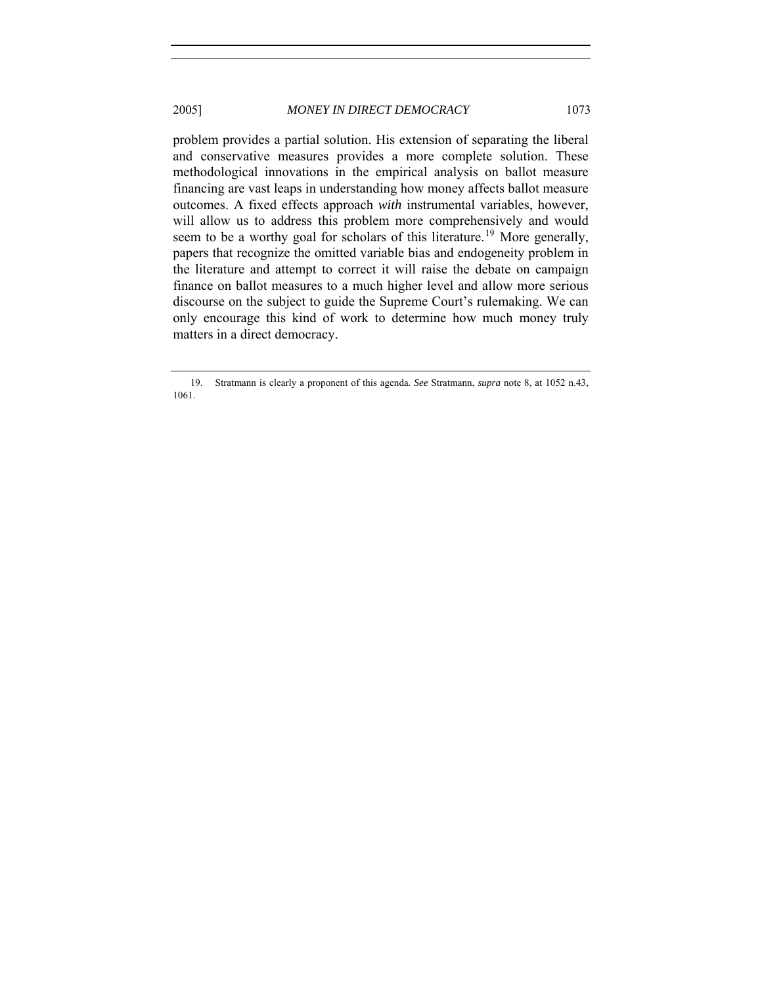problem provides a partial solution. His extension of separating the liberal and conservative measures provides a more complete solution. These methodological innovations in the empirical analysis on ballot measure financing are vast leaps in understanding how money affects ballot measure outcomes. A fixed effects approach *with* instrumental variables, however, will allow us to address this problem more comprehensively and would seem to be a worthy goal for scholars of this literature.<sup>[19](#page-8-0)</sup> More generally, papers that recognize the omitted variable bias and endogeneity problem in the literature and attempt to correct it will raise the debate on campaign finance on ballot measures to a much higher level and allow more serious discourse on the subject to guide the Supreme Court's rulemaking. We can only encourage this kind of work to determine how much money truly matters in a direct democracy.

<span id="page-8-0"></span> <sup>19.</sup> Stratmann is clearly a proponent of this agenda. *See* Stratmann, *supra* note 8, at 1052 n.43, 1061.